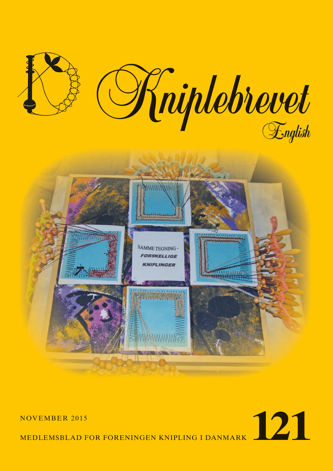



MEDLEMSBLAD FOR FORENINGEN KNIPLING I DANMARK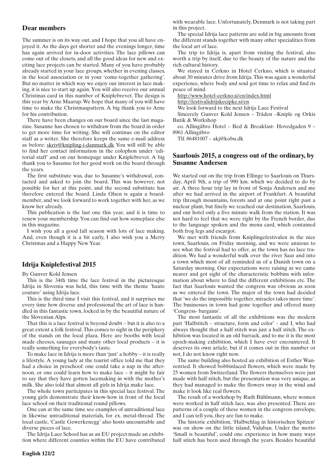### **Dear members**

The summer is on its way out, and I hope that you all have enjoyed it. As the days get shorter and the evenings longer, time has again arrived for in-door activities. The lace pillows can come out of the closets, and all the good ideas for new and exciting lace projects can be started. Many of you have probably already started in your lace groups, whether in evening classes, in the local association or in your 'come-together gathering'. But no matter in which way we enjoy our interest in lace making, it is nice to start up again. You will also receive our annual Christmas card in this number of Kniplebrevet. The design is this year by Arne Maarup. We hope that many of you will have time to make the Christmaspattern. A big thank you to Arne for his contribution.

There have been changes on our board since the last magazine. Susanne has chosen to withdraw from the board in order to get more time for writing. She will continue on the editor staff as a writer. She therefore keeps the same e-mail address as before: skriv@knipling-i-danmark.dk You will still be able to find her contact information in the colophon under 'editorial staff' and on our homepage under Kniplebrevet. A big thank you to Susanne for her good work on the board through the years.

The first substitute was, due to Susanne's withdrawal, contacted and asked to join the board. This was however, not possible for her at this point, and the second substitute has therefore entered the board. Linda Olsen is again a boardmember, and we look forward to work together with her, as we know her already.

This publication is the last one this year, and it is time to renew your membership. You can find out how someplace else in this magazine.

I wish you all a good fall season with lots of lace making. And, even though it is a bit early, I also wish you a Merry Christmas and a Happy New Year.

## **Idrija Kniplefestival 2015**

By Gunver Kold Jensen

This is the 34th time the lace festival in the picturesque Idrija in Slovenia was held, this time with the theme 'haute couture' using Idrija lace.

This is the third time I visit this festival, and it surprises me every time how diverse and professional the art of lace is handled in this fantastic town, locked in by the beautiful nature of the Slovenian Alps.

That this is a lace festival is beyond doubt – but it is also to a great extent a folk festival. This comes to sight in the periphery of the stands on the local plaza. Here are booths with local made cheeses, sausages and many other local products – it is really something for everybody's taste.

To make lace in Idrija is more than 'just' a hobby – it is really a lifestyle. A young lady at the tourist office told me that they had a choice in preschool: one could take a nap in the afternoon, or one could learn how to make lace – it might be fair to say that they have gotten lacemaking in with the mother's milk. She also told that almost all girls in Idrija make lace.

The whole town participates in this special lace festival. The young girls demonstrate their know-how in front of the local lace school on their traditional round pillows.

One can at the same time see examples of untraditional lace in likewise untraditional materials, for ex. metal-thread. The local castle, 'Castle Gewerkenegg' also hosts uncountable and diverse pieces of lace.

The Idrija Lace School has as an EU project made an exhibition where different counties within the EU have contributed

with wearable lace. Unfortunately, Denmark is not taking part in this project.

The special Idrija lace patterns are sold in big amounts from the different stands together with many other specialities from the local art of lace.

The trip to Idrija is, apart from visiting the festival, also worth a trip by itself, due to the beauty of the nature and the rich cultural history.

We stayed in Cerkno in Hotel Cerkno, which is situated about 30 minutes drive from Idrija. This was again a wonderful experience, where body and soul got time to relax and find its peace of mind.

http://www.hotel-cerkno.si/en/index.html

http://festivalidrijskecipke.si/en

We look forward to the next Idrija Lace Festival

Sincerely Gunver Kold Jensen – Tråden –Kniple og Orkis Butik & Workshop

co. Allingåbro Hotel – Bed & Breakfast- Hovedgaden 9 – 8961 Allingåbro

Tlf. 86481007 – akj@kobu.dk

### **Saarlouis 2015, a congress out of the ordinary, by Susanne Andersen**

We started out on the trip from Ellinge to Saarlouis on Thursday, April 9th, a trip of 990 km. which we decided to do by air. A three hour trip lay in front of Sonja Andersen and me after we had arrived in the airport of Frankfurt. A beautiful trip through mountains, forests and at one point right past a nuclear plant, but finely we reached our destination, Saarlouis, and our hotel only a five minute walk from the station. It was not hard to feel that we were right by the French border, due to the language spoken and the menu card, which contained both frog legs and escargot.

We met with friends from Kniplingefestivalen in the nice town, Saarlouis, on Friday morning, and we were anxious to see what the festival had to offer, as the town has no lace tradition. We had a wonderful walk over the river Saar and into a town which most of all reminded us of a Danish town on a Saturday morning. Our expectations were raising as we came nearer and got sight of the characteristic bobbins with information about where to find the different exhibitions etc. The fact that Saarlouis wanted the congress was obvious as soon as we entered the town. The major of the town had decided that 'we do the impossible together, miracles takes more time'. The businesses in town had gone together and offered many 'Congress- bargains'.

The most fantastic of all the exhibitions was the modern part 'Halfstitch – structure, form and color' - and I, who had always thought that a half stitch was just a half stitch. The exhibition was located in an old barrack, and to me it is the most epoch-making exhibition, which I have ever encountered. It deserves its own article, but if it comes out in this number or not, I do not know right now.

The same building also hosted an exhibition of Esther Wanzenried. It showed bobbinlaced flowers, which were made by 25 women from Switzerland. The flowers themselves were just made with half stitch, but the presentation was very unique, as they had managed to make the flowers sway in the wind and make it look like real flowers.

The result of a workshop by Ruth Bühlmann, where women were worked in half stitch lace, was also presented. There are patterns of a couple of these women in the congress envelope, and I can tell you, they are fun to make.

The historic exhibition, 'Halbschlag in historischen Spitzen' was on show on the little island, Valuban. Under the motto 'Small is beautiful', could one experience in how many ways half stitch has been used through the years. Besides beautiful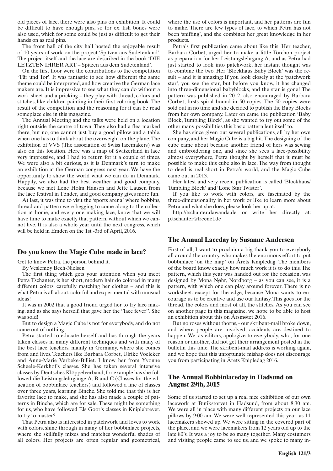old pieces of lace, there were also pins on exhibition. It could be difficult to have enough pins, so for ex. fish bones were also used, which for some could be just as difficult to get their hands on as real pins.

The front hall of the city hall hosted the enjoyable result of 10 years of work on the project 'Spitzen aus Sudetenland'. The project itself and the lace are described in the book 'DIE LETZTEN IHRER ART – Spitzen aus dem Sudetenland'.

On the first floor were the contributions to the competition 'Tür und Tor'. It was fantastic to see how different the same theme could be interpreted, and how creative the German lace makers are. It is impressive to see what they can do without a work sheet and a pricking – they play with thread, colors and stitches, like children painting in their first coloring book. The result of the competition and the reasoning for it can be read someplace else in this magazine.

The Annual Meeting and the talks were held on a location right outside the centre of town. They also had a flea marked there, but no, one cannot just buy a good pillow and a table, when one has to think about the overweight on the plane. The exhibition of VVS (The association of Swiss lacemakers) was also on this location. Here was a map of Switzerland in lace very impressive, and I had to return for it a couple of times. We were also a bit curious, as it is Denmark's turn to make an exhibition at the German congress next year. We have the opportunity to show the world what we can do in Denmark. Happily, we also had the best weather and good company, because we met Lene Holm Hansen and Jette Lausen from the lace festival in Tønder, and good company gives more fun.

At last, it was time to visit the 'sports arena' where bobbins, thread and pattern were begging to come along to the collection at home, and every one making lace, know that we will have time to make exactly that pattern, without which we cannot live. It is also a whole year until the next congress, which will be held in Emden on the 1st -3rd of April, 2016.

### **Do you know the Magic Cube made in lace?**

Get to know Petra, the person behind it.

By Veslemøy Bech-Nielsen

The first thing which gets your attention when you meet Petra Tschanter, is her short, modern hair do colored in many different colors, carefully matching her clothes – and this is what Petra is all about: colorful and experimental with unusual ideas!

It was in 2002 that a good friend urged her to try lace making, and as she says herself, that gave her the ''lace fever''. She was sold!

But to design a Magic Cube is not for everybody, and do not come out of nothing.

Petra started to educate herself and has through the years taken classes in many different techniques and with many of the best lace teachers, mainly in Germany, where she comes from and lives. Teachers like Barbara Corbet, Ulrike Voelcker and Anne-Marie Verbeke-Billiet. I know her from Yvonne Scheele-Kerkhof's classes. She has taken several intensive classes by Deutsches Klöppelverband, for example has she followed die Leistungslehrgänge A, B and C (Classes for the education of bobbinlace teachers) and followed a line of classes over three years, learning Binche. She told me that this is her favorite lace to make, and she has also made a couple of patterns in Binche, which are for sale. These might be something for us, who have followed Els Goor's classes in Kniplebrevet, to try to master?

That Petra also is interested in patchwork and loves to work with colors, shine through in many of her bobbinlace projects, where she skillfully mixes and matches wonderful shades of all colors. Her projects are often regular and geometrical,

where the use of colors is important, and her patterns are fun to make. There are few types of lace, to which Petra has not been 'sniffing', and she combines her great knowledge in her products.

Petra's first publication came about like this: Her teacher, Barbara Corbet, urged her to make a little Torchon project as preparation for her Leistungslehrgang A, and as Petra had just started to look into patchwork, her instant thought was to combine the two. Her 'Blockhaus Baby Block' was the result – and it is amazing: If you look closely at the 'patchwork star', you see the star, but before you know, it has changed into three-dimensional babyblocks, and the star is gone! The pattern was published in 2012, also encouraged by Barbara Corbet, firsts spiral bound in 50 copies. The 50 copies were sold out in no time and she decided to publish the Baby Blocks from her own company. Later on came the publication 'Baby Block, Tumbling Block', as she wanted to try out some of the other many possibilities this basic pattern lent itself to.

She has since given out several publications, all by her own company, and her Magic Cube is a big hit. The designing of the cube came about because another friend of hers was sewing and embroidering one, and since she sees a lace-possibility almost everywhere, Petra thought by herself that it must be possible to make this cube also in lace. The way from thought to deed is real short in Petra's world, and the Magic Cube came out in 2013.

Her latest and very recent publication is called 'Blockhaus/ Tumbling Block' and 'Lone Star Twister'.

If you like to work with colors, are fascinated by the three-dimensionality in her work or like to learn more about Petra and what she does, please look her up at:

http://tschanter.dawanda.de or write her directly at: p.tschanter@freenet.de

### **The Annual Laceday by Susanne Andersen**

First of all, I want to proclaim a big thank you to everybody all around the country, who makes the enormous effort to put bobbinlace 'on the map' on Årets Knipledag. The members of the board know exactly how much work it is to do this. The pattern, which this year was handed out for the occasion, was designed by Mona Nøhr, Nordborg – as you can see, it is a pattern, with which one can play around forever. There is no worksheet, except for the edge, because Mona wants to encourage us to be creative and use our fantasy. This goes for the thread, the colors and most of all, the stitches. As you can see on another page in this magazine, we hope to be able to host an exhibition about this on Årsmøtet 2016.

But no roses without thorns, - our skribent-mail broke down, and where people are involved, accidents are destined to happen. We, as editors, apologize to everybody, who, for one reason or another, did not get their arrangement posted in the bulletin this time. The skribent-mail address is working again, and we hope that this unfortunate mishap does not discourage you from participating in Årets Knipledag 2016.

# **The Annual Bobbinlaceday in Hadsund on August 29th, 2015**

Some of us started to set up a real nice exhibition of our own lacework at Butikstorvet in Hadsund, from about 8:30 am. We were all in place with many different projects on our lace pillows by 9:00 am. We were well represented this year, as 11 lacemakers showed up. We were sitting in the covered part of the place, and we were lacemakers from 12 years old up to the late 80's. It was a joy to be so many together. Many costumers and visiting people came to see us, and we spoke to many in-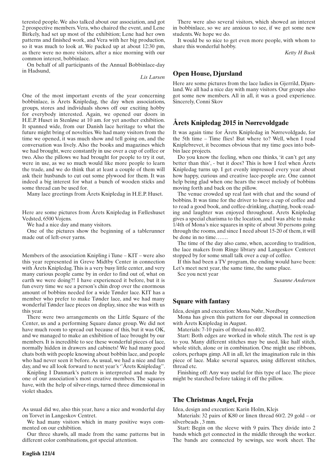terested people. We also talked about our association, and got 2 prospective members. Vera, who chaired the event, and Lene Birkely, had set up most of the exhibition; Lene had her own patterns and finished work, and Vera with her big production, so it was much to look at. We packed up at about 12:30 pm, as there were no more visitors, after a nice morning with our common interest, bobbinlace.

On behalf of all participants of the Annual Bobbinlace-day in Hadsund,

*Lis Larsen*

One of the most important events of the year concerning bobbinlace, is Årets Knipledag, the day when associations, groups, stores and individuals shows off our exciting hobby for everybody interested. Again, we opened our doors in H.E.P. Huset in Stenløse at 10 am. for yet another exhibition. It spanned wide, from our Danish lace heritage to what the future might bring of novelties. We had many visitors from the time we opened, it was much show and tell going on, and the conversation was lively. Also the books and magazines which we had brought, were constantly in use over a cup of coffee or two. Also the pillows we had brought for people to try it out, were in use, as we so much would like more people to learn the trade, and we do think that at least a couple of them will ask their husbands to cut out some plywood for them. It was indeed a big interest for what a bunch of wooden sticks and some thread can be used for.

Many lace greetings from Årets Knipledag in H.E.P. Huset.

Here are some pictures from Årets Knipledag in Fælleshuset Vedsted, 6500 Vojens.

We had a nice day and many visitors.

One of the pictures show the beginning of a tablerunner made out of left-over yarns.

Members of the association Knipling i Tune – KIT – were also this year represented in Greve Midtby Center in connection with Årets Knipledag. This is a very busy little center, and very many curious people came by in order to find out of, what on earth we were doing?! I have experienced it before, but it is fun every time we see a person's chin drop over the enormous amount of bobbins needed for a wide Tønder lace. KIT has a member who prefer to make Tønder lace, and we had many wonderful Tønder lace pieces on display, since she was with us this year.

There were two arrangements on the Little Square of the Center, us and a performing Square dance group. We did not have much room to spread out because of this, but it was OK, and we managed to make an exhibition of lace brought by our members. It is incredible to see these wonderful pieces of lace, normally hidden in drawers and cabinets! We had many good chats both with people knowing about bobbin lace, and people who had never seen it before. As usual, we had a nice and fun day, and we all look forward to next year's ''Årets Knipledag''.

Knipling I Danmark's pattern is interpreted and made by one of our association's most creative members. The squares have, with the help of silver-rings, turned three dimensional in violet shades.

As usual did we, also this year, have a nice and wonderful day on Torvet in Langeskov Centret.

We had many visitors which in many positive ways commented on our exhibition.

Our three shawls, all made from the same patterns but in different color combinations, got special attention.

There were also several visitors, which showed an interest in bobbinlace, so we are anxious to see, if we get some new students. We hope we do.

It would be so nice to get even more people, with whom to share this wonderful hobby.

*Ketty H Busk*

### **Open House, Djursland**

Here are some pictures from the lace ladies in Gjerrild, Djursland. We all had a nice day with many visitors. Our groups also got some new members. All in all, it was a good experience. Sincerely, Conni Skov

# **Årets Knipledag 2015 in Nørrevoldgade**

It was again time for Årets Knipledag in Nørrevoldgade, for the 5th time – Time flies! But where to? Well, when I read Kniplebrevet, it becomes obvious that my time goes into bobbin lace projects.

Do you know the feeling, when one thinks, 'it can't get any better than this', - but it does? This is how I feel when Årets Knipledag turns up. I get evenly impressed every year about how happy, curious and creative lace-people are. One cannot help being glad when one hears the sweet melody of bobbins moving forth and back on the pillow.

The venue crowded up real fast with chat and the sound of bobbins. It was time for the driver to have a cup of coffee and to read a good book, and coffee-drinking, chatting, book-reading and laughter was enjoyed throughout. Årets Knipledag gives a special charisma to the location, and I was able to make 1/4th of Mona's nice squares in spite of about 30 persons going through the rooms, and since I need about 15-20 of them, it will be done in no time…….

The time of the day also came, when, according to tradition, the lace makers from Ringe library and Langeskov Centeret stopped by for some small talk over a cup of coffee.

If this had been a TV program, the ending would have been: Let's meet next year, the same time, the same place.

See you next year

*Susanne Andersen*

### **Square with fantasy**

Idea, design and execution: Mona Nøhr, Nordborg

Mona has given this pattern for our disposal in connection with Årets Knipledag in August.

Materials: 7-10 pairs of thread no.40/2.

Start: Both edges are worked in whole stitch. The rest is up to you. Many different stitches may be used, like half stitch, whole stitch, alone or in combination. One might use ribbons, colors, perhaps gimp. All in all, let the imagination rule in this piece of lace. Make several squares, using different stitches, thread etc.

Finishing off: Any way useful for this type of lace. The piece might be starched before taking it off the pillow.

### **The Christmas Angel, Freja**

Idea, design and execution: Karin Holm, Klejs

Materials: 32 pairs of K80 or linen thread 60/2. 29 gold – or silverbeads , 3 mm.

Start: Begin on the sleeve with 9 pairs. They divide into 2 bands which get connected in the middle through the worker. The bands are connected by sewings, see work sheet. The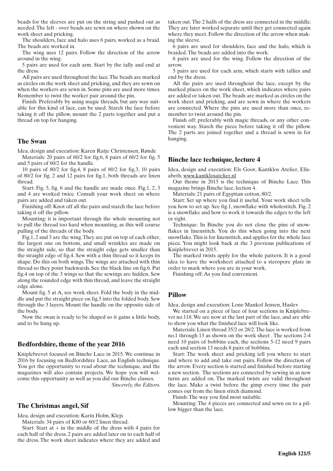beads for the sleeves are put on the string and pushed out as needed. The left - over beads are sewn on where shown on the work sheet and pricking.

The shoulders, face and halo uses 6 pairs, worked as a braid. The beads are worked in.

The wing uses 12 pairs. Follow the direction of the arrow around in the wing.

5 pairs are used for each arm. Start by the tally and end at the dress.

All pairs are used throughout the lace. The beads are marked as circles on the work sheet and pricking, and they are sewn on when the workers are sewn in. Some pins are used more times. Remember to twist the worker pair around the pin.

Finish: Preferably by using magic threads, but any way suitable for this kind of lace, can be used. Starch the lace before taking it off the pillow, mount the 2 parts together and put a thread on top for hanging.

#### **The Swan**

Idea, design and execution: Karen Ratje Christensen, Rønde

Materials: 20 pairs of 60/2 for fig.6, 8 pairs of 60/2 for fig. 5 and 5 pairs of 60/2 for the handle.

10 pairs of 80/2 for fig.4, 8 pairs of 80/2 for fig.3, 10 pairs of 80/2 for fig. 2 and 12 pairs for fig.1, both threads are linen thread.

Start: Fig. 5, fig. 6 and the handle are made once. Fig.1, 2, 3 and 4 are worked twice. Consult your work sheet on where pairs are added and taken out.

Finishing off: Knot off all the pairs and starch the lace before taking it off the pillow.

Mounting: it is important through the whole mounting not to pull the thread too hard when mounting, as this will course pulling of the threads of the body.

Fig.1, 2 and 3 are the wing. They are put on top of each other, the largest one on bottom, and small wrinkles are made on the straight side, so that the straight edge gets smaller than the straight edge of fig.4. Sew with a thin thread so it keeps its shape. Do this on both wings. The wings are attached with thin thread so they point backwards. See the black line on fig.6. Put fig.4 on top of the 3 wings so that the sewings are hidden. Sew along the rounded edge with thin thread, and leave the straight edge alone.

Mount fig. 5 at A, see work sheet. Fold the body in the middle and put the straight piece on fig.5 into the folded body. Sew through the 3 layers. Mount the handle on the opposite side of the body.

Now the swan is ready to be shaped so it gains a little body, and to be hung up.

### **Bedfordshire, theme of the year 2016**

Kniplebrevet focused on Binche Lace in 2015. We continue in 2016 by focusing on Bedfordshire Lace, an English technique. You get the opportunity to read about the technique, and the magazines will also contain projects. We hope you will welcome this opportunity as well as you did our Binche classes. *Sincerely, the Editors.*

#### **The Christmas angel, Sif**

Idea, design and execution: Karin Holm, Klejs

Materials: 34 pairs of K80 or 60/2 linen thread.

Start: Start at  $+$  in the middle of the dress with 4 pairs for each half of the dress. 2 pairs are added later on to each half of the dress. The work sheet indicates where they are added and

taken out. The 2 halfs of the dress are connected in the middle. They are later worked separate until they get connected again where they meet. Follow the direction of the arrow when making the sleeve.

6 pairs are used for shoulders, face and the halo, which is braided. The beads are added into the work.

6 pairs are used for the wing. Follow the direction of the arrow.

5 pairs are used for each arm, which starts with tallies and end by the dress.

All the pairs are used throughout the lace, except by the marked places on the work sheet, which indicates where pairs are added or taken out. The beads are marked as circles on the work sheet and pricking, and are sewn in where the workers are connected. Where the pins are used more than once, remember to twist around the pin.

Finish off: preferably with magic threads, or any other convenient way. Starch the piece before taking it off the pillow. The 2 parts are joined together and a thread is sewn in for hanging.

### **Binche lace technique, lecture 4**

Idea, design and execution: Els Goor, Kantklos Atelier, Elisabeth, www.kantklosatelier.nl

Our theme in 2015 is the technique of Binche Lace. This magazine brings Binche lace, lection 4.

Materials: 21 pairs of Egyptian cotton, 80/2.

Start: Set up where you find it useful. Your work sheet tells you how to set up. See fig.1, snowflake with wholestitch. Fig. 2 is a snowflake and how to work it towards the edges to the left or right.

Technique: In Binche you do not close the pins of snowflakes in linenstitch. You do this when going into the next snowflake. This is for linenstitch, and applies for the whole lace piece. You might look back at the 3 previous publications of Kniplebrevet in 2015.

The marked twists apply for the whole pattern. It is a good idea to have the worksheet attached to a steropore plate in order to mark where you are in your work.

Finishing off: As you find convenient.

#### **Pillow**

Idea, design and execution: Lone Mankof Jensen, Haslev

We started on a piece of lace of four sections in Kniplebrevet no.118. We are now at the last part of the lace, and are able to show you what the finished lace will look like.

Materials: Linen thread 35/2 or 28/2. The lace is worked from no.1 through 13 as shown on the work sheet . The sections 2-4 need 10 pairs of bobbins each, the sections 5-12 need 9 pairs each and section 13 needs 8 pairs of bobbins.

Start: The work sheet and pricking tell you where to start and where to add and take out pairs. Follow the direction of the arrow. Every section is started and finished before starting a new section. The sections are connected by sewing in as new turns are added on. The marked twists are valid throughout the lace. Make a twist before the gimp every time the pair comes out from the linen stitch diamond.

Finish: The way you find most suitable.

Mounting: The 4 pieces are connected and sewn on to a pillow bigger than the lace.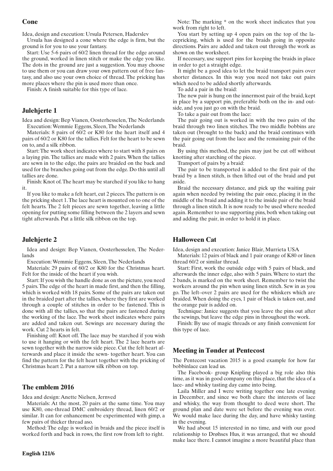## **Cone**

Idea, design and execution: Ursula Petersen, Haderslev

Ursula has designed a cone where the edge is firm, but the ground is for you to use your fantasy.

Start: Use 5-6 pairs of 60/2 linen thread for the edge around the ground, worked in linen stitch or make the edge you like. The dots in the ground are just a suggestion. You may choose to use them or you can draw your own pattern out of free fantasy, and also use your own choice of thread. The pricking has more places where the pin is used more than once.

Finish: A finish suitable for this type of lace.

## **Julehjerte 1**

Idea and design: Bep Vianen, Oosterhesselen, The Nederlands Execution: Wemmie Eggens, Sleen, The Nederlands

Materials: 8 pairs of 60/2 or K80 for the heart itself and 4 pairs of 60/2 or K80 for the tallies. Felt for the heart to be sewn on to, and a silk ribbon.

Start: The work sheet indicates where to start with 8 pairs on a laying pin. The tallies are made with 2 pairs. When the tallies are sewn in to the edge, the pairs are braided on the back and used for the branches going out from the edge. Do this until all tallies are done.

Finish: Knot of. The heart may be starched if you like to hang it.

If you like to make a felt heart, cut 2 pieces. The pattern is on the pricking sheet 1. The lace heart is mounted on to one of the felt hearts. The 2 felt pieces are sewn together, leaving a little opening for putting some filling between the 2 layers and sewn tight afterwards. Put a little silk ribbon on the top.

## **Julehjerte 2**

Idea and design: Bep Vianen, Oosterhesselen, The Nederlands

Execution: Wemmie Eggens, Sleen, The Nederlands

Materials: 29 pairs of 60/2 or K80 for the Christmas heart. Felt for the inside of the heart if you wish.

Start: If you wish the handle done as on the picture, you need 5 pairs. The edge of the heart in made first, and then the filling, which is worked with 18 pairs. Some of the pairs are taken out in the braided part after the tallies, where they first are worked through a couple of stitches in order to be fastened. This is done with all the tallies, so that the pairs are fastened during the working of the lace. The work sheet indicates where pairs are added and taken out. Sewings are necessary during the work. Cut 2 hearts in felt.

Finishing off: Knot off. The lace may be starched if you wish to use it hanging or with the felt heart. The 2 lace hearts are sewn together with the narrow side piece. Cut the felt heart afterwards and place it inside the sewn- together heart. You can find the pattern for the felt heart together with the pricking of Christmas heart 2. Put a narrow silk ribbon on top.

#### **The emblem 2016**

Idea and design: Anette Nielsen, Jernved

Materials: At the most, 20 pairs at the same time. You may use K80, one-thread DMC embroidery thread, linen 60/2 or similar. It can for enhancement be experimented with gimp, a few pairs of thicker thread aso.

Method: The edge is worked in braids and the piece itself is worked forth and back in rows, the first row from left to right.

Note: The marking \* on the work sheet indicates that you work from right to left.

You start by setting up 4 open pairs on the top of the lacepricking, which is used for the braids going in opposite directions. Pairs are added and taken out through the work as shown on the worksheet.

If necessary, use support pins for keeping the braids in place in order to get a straight edge.

It might be a good idea to let the braid transport pairs over shorter distances. In this way you need not take out pairs which need to be added shortly afterwards.

To add a pair in the braid:

The new pair is hung on the innermost pair of the braid, kept in place by a support pin, preferable both on the in- and outside, and you just go on with the braid.

To take a pair out from the lace:

The pair going out is worked in with the two pairs of the braid through two linen stitches. The two middle bobbins are taken out (brought to the back) and the braid continues with the pair going out from the lace and the remaining pair of the braid.

By using this method, the pairs may just be cut off without knotting after starching of the piece.

Transport of pairs by a braid:

The pair to be transported is added to the first pair of the braid by a linen stitch, is then lifted out of the braid and put aside.

Braid the necessary distance, and pick up the waiting pair again when needed by twisting the pair once, placing it in the middle of the braid and adding it to the inside pair of the braid through a linen stitch. It is now ready to be used where needed again. Remember to use supporting pins, both when taking out and adding the pair, in order to hold it in place.

## **Halloween Cat**

Idea, design and execution: Janice Blair, Murrieta USA

Materials: 12 pairs of black and 1 pair orange of K80 or linen thread 60/2 or similar thread.

Start: First, work the outside edge with 5 pairs of black, and afterwards the inner edge, also with 5 pairs. Where to start the 2 bands, is marked on the work sheet. Remember to twist the workers around the pin when using linen stitch. Sew in as you go. The left–over 2 pairs are used for the whiskers which are braided. When doing the eyes, 1 pair of black is taken out, and the orange pair is added on.

Technique: Janice suggests that you leave the pins out after the sewings, but leave the edge pins in throughout the work.

Finish: By use of magic threads or any finish convenient for this type of lace.

### **Meeting in Tønder at Pentecost**

The Pentecost vacation 2015 is a good example for how far bobbinlace can lead us.

The Facebook- group Knipling played a big role also this time, as it was in good company on this place, that the idea of a lace- and whisky tasting day came into being.

Laila Miller and I were writing together one late evening in December, and since we both chare the interests of lace and whisky, the way from thought to deed were short. The ground plan and date were set before the evening was over. We would make lace during the day, and have whisky tasting in the evening.

We had about 15 interested in no time, and with our good relationship to Drøhses Hus, it was arranged, that we should make lace there. I cannot imagine a more beautiful place than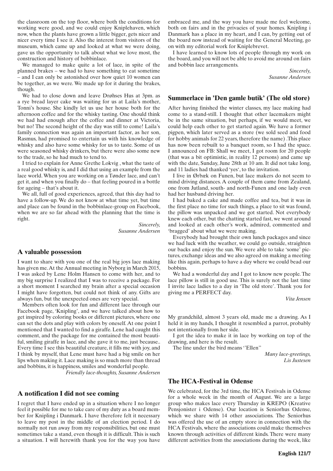the classroom on the top floor, where both the conditions for working were good, and we could enjoy Kniplehaven, which now, when the plants have grown a little bigger, gets nicer and nicer every time I see it. Also the interest from visitors of the museum, which came up and looked at what we were doing, gave us the opportunity to talk about what we love most, the construction and history of bobbinlace.

We managed to make quite a lot of lace, in spite of the planned brakes – we had to have something to eat sometime – and I can only be astonished over how quiet 10 women can be together, as we were. We made up for it during the brakes, though.

We had to close down and leave Drøhses Hus at 3pm. as a rye bread layer cake was waiting for us at Laila's mother, Tonni's house. She kindly let us use her house both for the afternoon coffee and for the whisky tasting. One should think we had had enough after the coffee and dinner at Victoria, but no! The second height of the day was still to come! Laila's family connection was again an important factor, as her son, Rasmus, had promised to entertain us with his knowledge of whisky and also have some whisky for us to taste. Some of us were seasoned whisky drinkers, but there were also some new to the trade, so he had much to tend to.

I tried to explain for Anne Grethe Lokvig , what the taste of a real good whisky is, and I did that using an example from the lace world. When you are working on a Tønder lace, and can't get it, and when you finally do – that feeling poured in a bottle for ageing – that's about it.

We all, full of good experiences, agreed, that this day had to have a follow-up. We do not know at what time yet, but time and place can be found in the bobbinlace-group on Facebook, when we are so far ahead with the planning that the time is right.

> *Sincerely, Susanne Andersen*

### **A valuable possession**

I want to share with you one of the real big joys lace making has given me. At the Annual meeting in Nyborg in March 2015, I was asked by Lene Holm Hansen to come with her, and to my big surprise I realized that I was to receive a package. For a short moment I searched my brain after a special occasion I might have forgotten, but could not think of any. Gifts are always fun, but the unexpected ones are very special.

Members often look for fun and different lace through our Facebook page, 'Knipling', and we have talked about how to get inspired by coloring books or different pictures, where one can set the dots and play with colors by oneself. At one point I mentioned that I wanted to find a giraffe. Lene had caught this comment, and the package for me contained the most beautiful, smiling giraffe in lace, and she gave it to me, just because.. Every time I see this beautiful creature, it fills me with joy, and I think by myself, that Lene must have had a big smile on her lips when making it. Lace making is so much more than thread and bobbins, it is happiness, smiles and wonderful people.

*Friendly lace-thoughts, Susanne Andersen*

### **A notification I did not see coming**

I regret that I have ended up in a situation where I no longer feel it possible for me to take care of my duty as a board member for Knipling i Danmark. I have therefore felt it necessary to leave my post in the middle of an election period. I do normally not run away from my responsibilities, but one must sometimes take a stand, even though it is difficult. This is such a situation. I will herewith thank you for the way you have

embraced me, and the way you have made me feel welcome, both on fairs and in the privacies of your homes. Knipling i Danmark has a place in my heart, and I can, by getting out of the board now instead of waiting for the General Meeting, go on with my editorial work for Kniplebrevet.

I have learned to know lots of people through my work on the board, and you will not be able to avoid me around on fairs and bobbin lace arrangements.

> *Sincerely, Susanne Andersen*

### **Summerlace in 'Den gamle butik' (The old store)**

After having finished the winter classes, my lace making had come to a stand-still. I thought that other lacemakers might be in the same situation, but perhaps, if we would meet, we could help each other to get started again. We have a former pigpen, which later served as a store (we sold seed and food for hobby animals for 22 years, therefore the name) .This place has now been rebuilt to a banquet room, so I had the space. I announced on FB: Shall we meet, I got room for 20 people (that was a bit optimistic, in reality 12 persons) and came up with the date, Sunday, June 28th at 10 am. It did not take long, and 11 ladies had thanked 'yes', to the invitation.

I live in Ørbæk on Funen, but lace makers do not seem to mind driving distances. A couple of them came from Zealand, one from Jutland, south- and north-Funen and one lady even had her husband driving her.

I had baked a cake and made coffee and tea, but it was in the first place no time for such things, a place to sit was found, the pillow was unpacked and we got started. Not everybody knew each other, but the chatting started fast, we went around and looked at each other's work, admired, commented and 'bragged' about what we were making.

Everybody had brought their own lunch packages and since we had luck with the weather, we could go outside, straighten our backs and enjoy the sun. We were able to take 'some' pictures, exchange ideas and we also agreed on making a meeting like this again, perhaps to have a day where we could bead our bobbins.

We had a wonderful day and I got to know new people. The lace pillow is still in good use. This is surely not the last time I invite lace ladies to a day in 'The old store'. Thank you for giving me a PERFECT day.

*Vita Jensen*

My grandchild, almost 3 years old, made me a drawing. As I held it in my hands, I thought it resembled a parrot, probably not intentionally from her side.

I got the idea to make it in lace by working on top of the drawing, and here is the result.

The line under the bird means ''Ellen''

*Many lace-greetings, Lis Justesen*

#### **The HCA-Festival in Odense**

We celebrated, for the 3rd time, the HCA Festivals in Odense for a whole week in the month of August. We are a large group who makes lace every Thursday in KREPO (Kreative Pensjonister i Odense). Our location is Seniorhus Odense, which we share with 14 other associations. The Seniorhus was offered the use of an empty store in connection with the HCA Festivals, where the associations could make themselves known through activities of different kinds. There were many different activities from the associations during the week, like